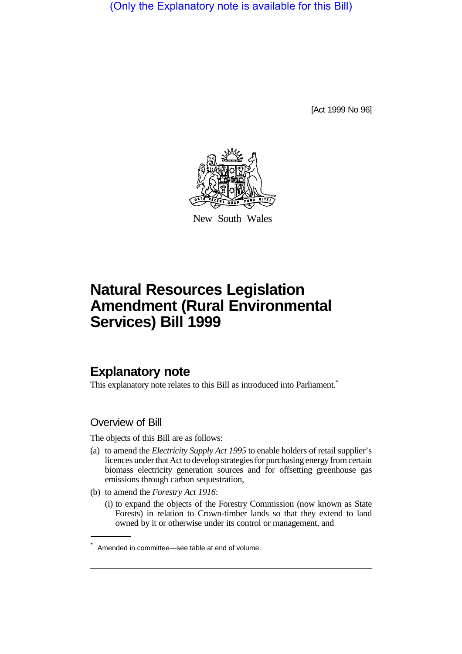(Only the Explanatory note is available for this Bill)

[Act 1999 No 96]



New South Wales

# **Natural Resources Legislation Amendment (Rural Environmental Services) Bill 1999**

## **Explanatory note**

This explanatory note relates to this Bill as introduced into Parliament.<sup>\*</sup>

### Overview of Bill

The objects of this Bill are as follows:

- (a) to amend the *Electricity Supply Act 1995* to enable holders of retail supplier's licences under that Act to develop strategies for purchasing energy from certain biomass electricity generation sources and for offsetting greenhouse gas emissions through carbon sequestration,
- (b) to amend the *Forestry Act 1916*:
	- (i) to expand the objects of the Forestry Commission (now known as State Forests) in relation to Crown-timber lands so that they extend to land owned by it or otherwise under its control or management, and

<sup>\*</sup> Amended in committee—see table at end of volume.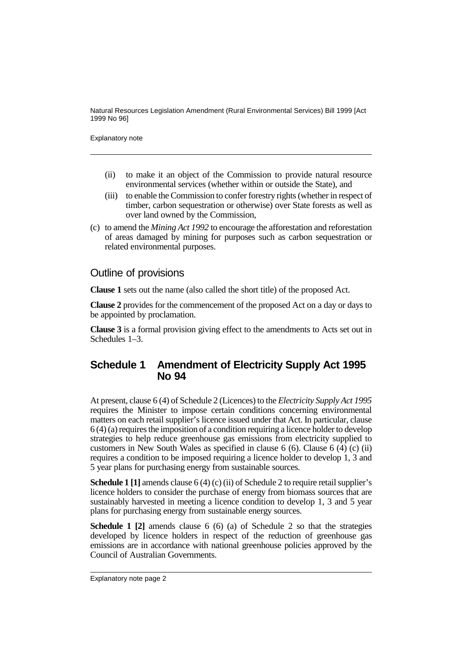Natural Resources Legislation Amendment (Rural Environmental Services) Bill 1999 [Act 1999 No 96]

Explanatory note

- (ii) to make it an object of the Commission to provide natural resource environmental services (whether within or outside the State), and
- (iii) to enable the Commission to confer forestry rights (whether in respect of timber, carbon sequestration or otherwise) over State forests as well as over land owned by the Commission,
- (c) to amend the *Mining Act 1992* to encourage the afforestation and reforestation of areas damaged by mining for purposes such as carbon sequestration or related environmental purposes.

#### Outline of provisions

**Clause 1** sets out the name (also called the short title) of the proposed Act.

**Clause 2** provides for the commencement of the proposed Act on a day or days to be appointed by proclamation.

**Clause 3** is a formal provision giving effect to the amendments to Acts set out in Schedules 1–3.

## **Schedule 1 Amendment of Electricity Supply Act 1995 No 94**

At present, clause 6 (4) of Schedule 2 (Licences) to the *Electricity Supply Act 1995* requires the Minister to impose certain conditions concerning environmental matters on each retail supplier's licence issued under that Act. In particular, clause 6 (4) (a) requires the imposition of a condition requiring a licence holder to develop strategies to help reduce greenhouse gas emissions from electricity supplied to customers in New South Wales as specified in clause 6 (6). Clause 6 (4) (c) (ii) requires a condition to be imposed requiring a licence holder to develop 1, 3 and 5 year plans for purchasing energy from sustainable sources.

**Schedule 1 [1]** amends clause 6 (4) (c) (ii) of Schedule 2 to require retail supplier's licence holders to consider the purchase of energy from biomass sources that are sustainably harvested in meeting a licence condition to develop 1, 3 and 5 year plans for purchasing energy from sustainable energy sources.

**Schedule 1 [2]** amends clause 6 (6) (a) of Schedule 2 so that the strategies developed by licence holders in respect of the reduction of greenhouse gas emissions are in accordance with national greenhouse policies approved by the Council of Australian Governments.

Explanatory note page 2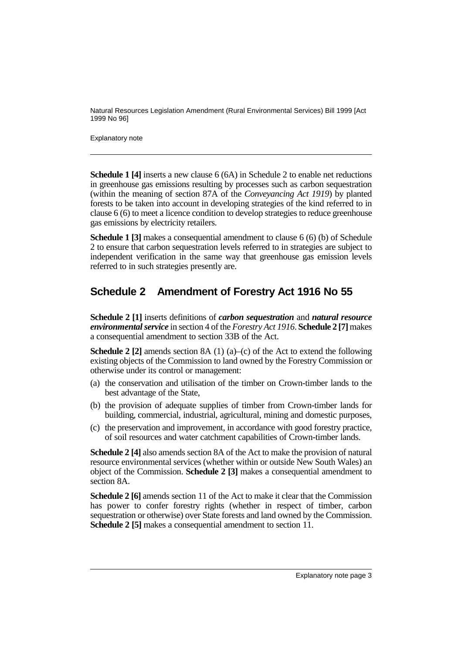Natural Resources Legislation Amendment (Rural Environmental Services) Bill 1999 [Act 1999 No 96]

Explanatory note

**Schedule 1 [4]** inserts a new clause 6 (6A) in Schedule 2 to enable net reductions in greenhouse gas emissions resulting by processes such as carbon sequestration (within the meaning of section 87A of the *Conveyancing Act 1919*) by planted forests to be taken into account in developing strategies of the kind referred to in clause 6 (6) to meet a licence condition to develop strategies to reduce greenhouse gas emissions by electricity retailers.

**Schedule 1 [3]** makes a consequential amendment to clause 6 (6) (b) of Schedule 2 to ensure that carbon sequestration levels referred to in strategies are subject to independent verification in the same way that greenhouse gas emission levels referred to in such strategies presently are.

# **Schedule 2 Amendment of Forestry Act 1916 No 55**

**Schedule 2 [1]** inserts definitions of *carbon sequestration* and *natural resource environmental service* in section 4 of the *Forestry Act 1916*. **Schedule 2 [7]** makes a consequential amendment to section 33B of the Act.

**Schedule 2 [2]** amends section 8A (1) (a)–(c) of the Act to extend the following existing objects of the Commission to land owned by the Forestry Commission or otherwise under its control or management:

- (a) the conservation and utilisation of the timber on Crown-timber lands to the best advantage of the State,
- (b) the provision of adequate supplies of timber from Crown-timber lands for building, commercial, industrial, agricultural, mining and domestic purposes,
- (c) the preservation and improvement, in accordance with good forestry practice, of soil resources and water catchment capabilities of Crown-timber lands.

**Schedule 2 [4]** also amends section 8A of the Act to make the provision of natural resource environmental services (whether within or outside New South Wales) an object of the Commission. **Schedule 2 [3]** makes a consequential amendment to section 8A.

**Schedule 2 [6]** amends section 11 of the Act to make it clear that the Commission has power to confer forestry rights (whether in respect of timber, carbon sequestration or otherwise) over State forests and land owned by the Commission. **Schedule 2 [5]** makes a consequential amendment to section 11.